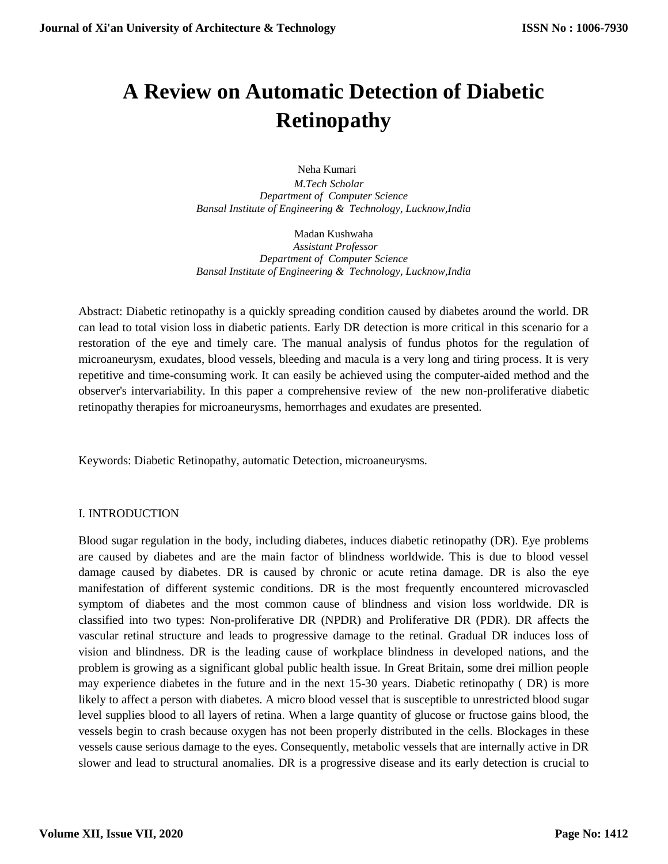# **A Review on Automatic Detection of Diabetic Retinopathy**

 Neha Kumari  *M.Tech Scholar Department of Computer Science Bansal Institute of Engineering & Technology, Lucknow,India*

Madan Kushwaha  *Assistant Professor Department of Computer Science Bansal Institute of Engineering & Technology, Lucknow,India*

Abstract: Diabetic retinopathy is a quickly spreading condition caused by diabetes around the world. DR can lead to total vision loss in diabetic patients. Early DR detection is more critical in this scenario for a restoration of the eye and timely care. The manual analysis of fundus photos for the regulation of microaneurysm, exudates, blood vessels, bleeding and macula is a very long and tiring process. It is very repetitive and time-consuming work. It can easily be achieved using the computer-aided method and the observer's intervariability. In this paper a comprehensive review of the new non-proliferative diabetic retinopathy therapies for microaneurysms, hemorrhages and exudates are presented.

Keywords: Diabetic Retinopathy, automatic Detection, microaneurysms.

#### I. INTRODUCTION

Blood sugar regulation in the body, including diabetes, induces diabetic retinopathy (DR). Eye problems are caused by diabetes and are the main factor of blindness worldwide. This is due to blood vessel damage caused by diabetes. DR is caused by chronic or acute retina damage. DR is also the eye manifestation of different systemic conditions. DR is the most frequently encountered microvascled symptom of diabetes and the most common cause of blindness and vision loss worldwide. DR is classified into two types: Non-proliferative DR (NPDR) and Proliferative DR (PDR). DR affects the vascular retinal structure and leads to progressive damage to the retinal. Gradual DR induces loss of vision and blindness. DR is the leading cause of workplace blindness in developed nations, and the problem is growing as a significant global public health issue. In Great Britain, some drei million people may experience diabetes in the future and in the next 15-30 years. Diabetic retinopathy ( DR) is more likely to affect a person with diabetes. A micro blood vessel that is susceptible to unrestricted blood sugar level supplies blood to all layers of retina. When a large quantity of glucose or fructose gains blood, the vessels begin to crash because oxygen has not been properly distributed in the cells. Blockages in these vessels cause serious damage to the eyes. Consequently, metabolic vessels that are internally active in DR slower and lead to structural anomalies. DR is a progressive disease and its early detection is crucial to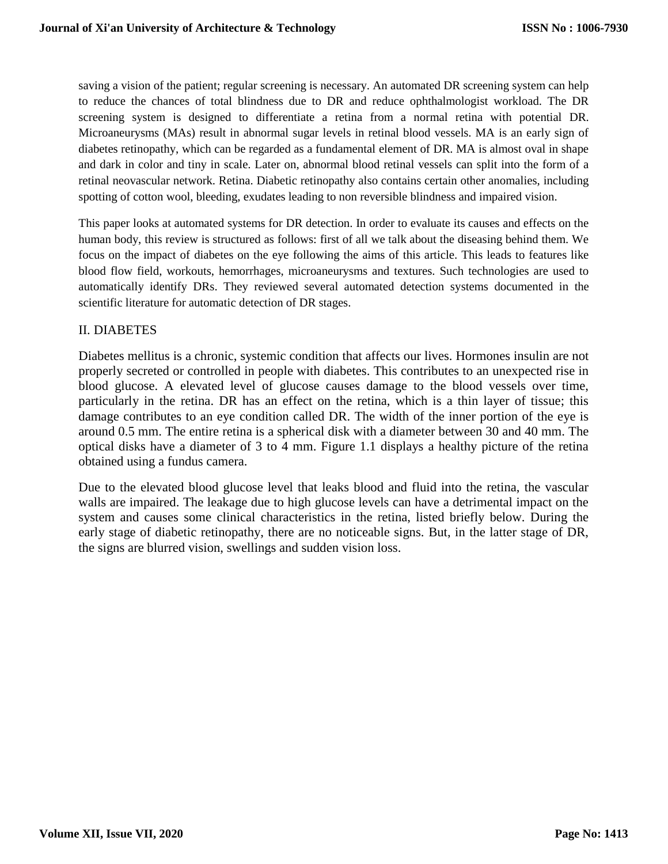saving a vision of the patient; regular screening is necessary. An automated DR screening system can help to reduce the chances of total blindness due to DR and reduce ophthalmologist workload. The DR screening system is designed to differentiate a retina from a normal retina with potential DR. Microaneurysms (MAs) result in abnormal sugar levels in retinal blood vessels. MA is an early sign of diabetes retinopathy, which can be regarded as a fundamental element of DR. MA is almost oval in shape and dark in color and tiny in scale. Later on, abnormal blood retinal vessels can split into the form of a retinal neovascular network. Retina. Diabetic retinopathy also contains certain other anomalies, including spotting of cotton wool, bleeding, exudates leading to non reversible blindness and impaired vision.

This paper looks at automated systems for DR detection. In order to evaluate its causes and effects on the human body, this review is structured as follows: first of all we talk about the diseasing behind them. We focus on the impact of diabetes on the eye following the aims of this article. This leads to features like blood flow field, workouts, hemorrhages, microaneurysms and textures. Such technologies are used to automatically identify DRs. They reviewed several automated detection systems documented in the scientific literature for automatic detection of DR stages.

## II. DIABETES

Diabetes mellitus is a chronic, systemic condition that affects our lives. Hormones insulin are not properly secreted or controlled in people with diabetes. This contributes to an unexpected rise in blood glucose. A elevated level of glucose causes damage to the blood vessels over time, particularly in the retina. DR has an effect on the retina, which is a thin layer of tissue; this damage contributes to an eye condition called DR. The width of the inner portion of the eye is around 0.5 mm. The entire retina is a spherical disk with a diameter between 30 and 40 mm. The optical disks have a diameter of 3 to 4 mm. Figure 1.1 displays a healthy picture of the retina obtained using a fundus camera.

Due to the elevated blood glucose level that leaks blood and fluid into the retina, the vascular walls are impaired. The leakage due to high glucose levels can have a detrimental impact on the system and causes some clinical characteristics in the retina, listed briefly below. During the early stage of diabetic retinopathy, there are no noticeable signs. But, in the latter stage of DR, the signs are blurred vision, swellings and sudden vision loss.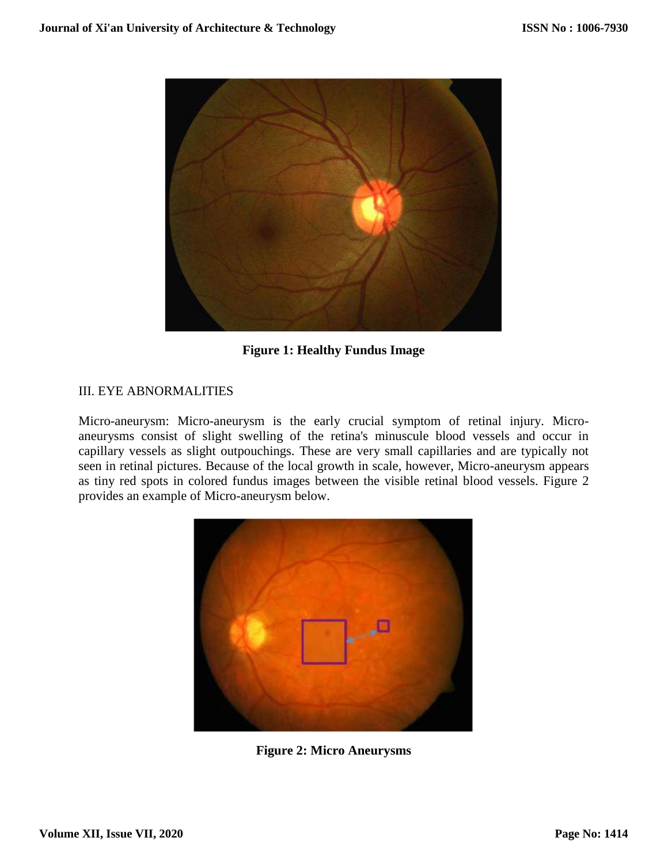

**Figure 1: Healthy Fundus Image**

## III. EYE ABNORMALITIES

Micro-aneurysm: Micro-aneurysm is the early crucial symptom of retinal injury. Microaneurysms consist of slight swelling of the retina's minuscule blood vessels and occur in capillary vessels as slight outpouchings. These are very small capillaries and are typically not seen in retinal pictures. Because of the local growth in scale, however, Micro-aneurysm appears as tiny red spots in colored fundus images between the visible retinal blood vessels. Figure 2 provides an example of Micro-aneurysm below.



**Figure 2: Micro Aneurysms**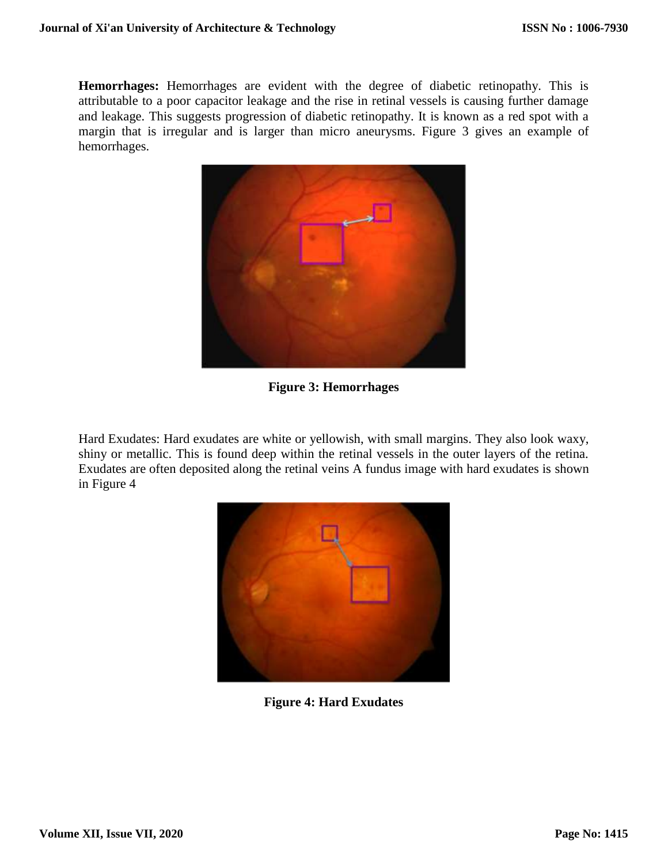**Hemorrhages:** Hemorrhages are evident with the degree of diabetic retinopathy. This is attributable to a poor capacitor leakage and the rise in retinal vessels is causing further damage and leakage. This suggests progression of diabetic retinopathy. It is known as a red spot with a margin that is irregular and is larger than micro aneurysms. Figure 3 gives an example of hemorrhages.



**Figure 3: Hemorrhages**

Hard Exudates: Hard exudates are white or yellowish, with small margins. They also look waxy, shiny or metallic. This is found deep within the retinal vessels in the outer layers of the retina. Exudates are often deposited along the retinal veins A fundus image with hard exudates is shown in Figure 4



**Figure 4: Hard Exudates**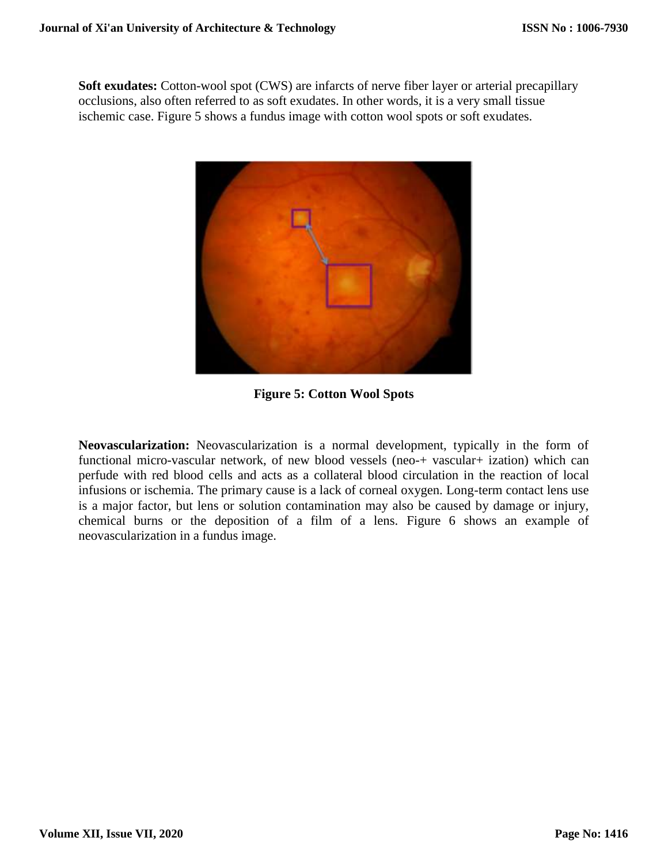**Soft exudates:** Cotton-wool spot (CWS) are infarcts of nerve fiber layer or arterial precapillary occlusions, also often referred to as soft exudates. In other words, it is a very small tissue ischemic case. Figure 5 shows a fundus image with cotton wool spots or soft exudates.



**Figure 5: Cotton Wool Spots**

**Neovascularization:** Neovascularization is a normal development, typically in the form of functional micro-vascular network, of new blood vessels (neo-+ vascular+ ization) which can perfude with red blood cells and acts as a collateral blood circulation in the reaction of local infusions or ischemia. The primary cause is a lack of corneal oxygen. Long-term contact lens use is a major factor, but lens or solution contamination may also be caused by damage or injury, chemical burns or the deposition of a film of a lens. Figure 6 shows an example of neovascularization in a fundus image.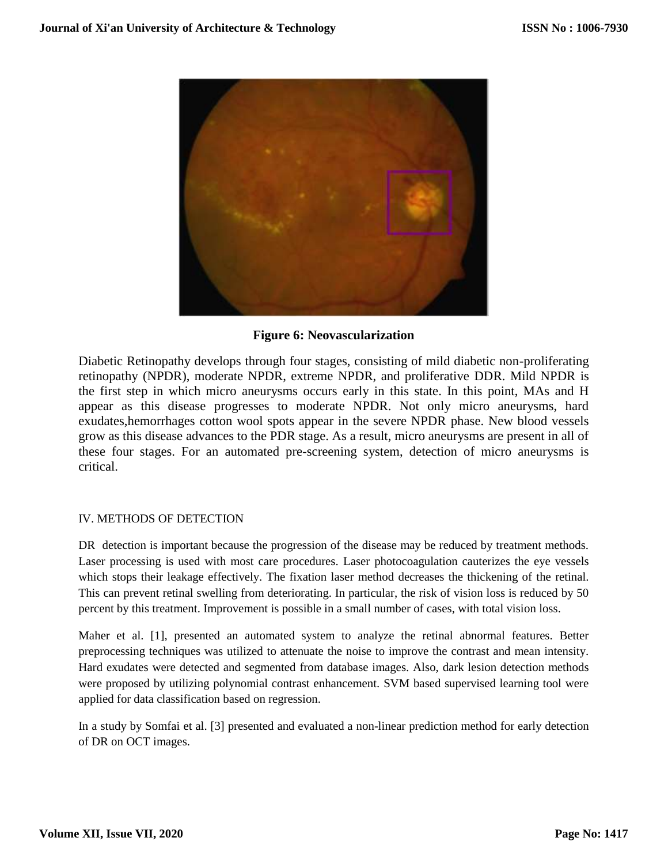

## **Figure 6: Neovascularization**

Diabetic Retinopathy develops through four stages, consisting of mild diabetic non-proliferating retinopathy (NPDR), moderate NPDR, extreme NPDR, and proliferative DDR. Mild NPDR is the first step in which micro aneurysms occurs early in this state. In this point, MAs and H appear as this disease progresses to moderate NPDR. Not only micro aneurysms, hard exudates,hemorrhages cotton wool spots appear in the severe NPDR phase. New blood vessels grow as this disease advances to the PDR stage. As a result, micro aneurysms are present in all of these four stages. For an automated pre-screening system, detection of micro aneurysms is critical.

## IV. METHODS OF DETECTION

DR detection is important because the progression of the disease may be reduced by treatment methods. Laser processing is used with most care procedures. Laser photocoagulation cauterizes the eye vessels which stops their leakage effectively. The fixation laser method decreases the thickening of the retinal. This can prevent retinal swelling from deteriorating. In particular, the risk of vision loss is reduced by 50 percent by this treatment. Improvement is possible in a small number of cases, with total vision loss.

Maher et al. [1], presented an automated system to analyze the retinal abnormal features. Better preprocessing techniques was utilized to attenuate the noise to improve the contrast and mean intensity. Hard exudates were detected and segmented from database images. Also, dark lesion detection methods were proposed by utilizing polynomial contrast enhancement. SVM based supervised learning tool were applied for data classification based on regression.

In a study by Somfai et al. [3] presented and evaluated a non-linear prediction method for early detection of DR on OCT images.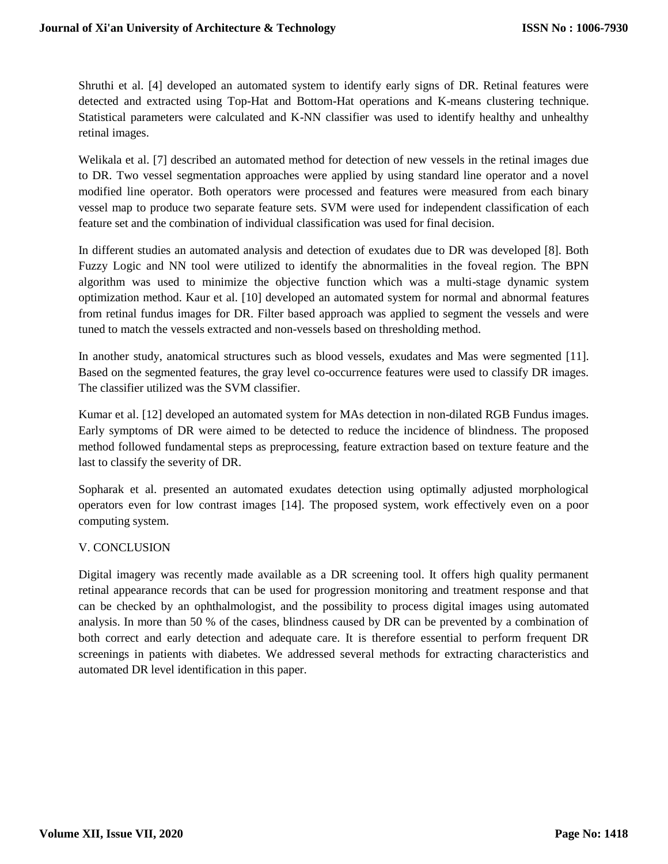Shruthi et al. [4] developed an automated system to identify early signs of DR. Retinal features were detected and extracted using Top-Hat and Bottom-Hat operations and K-means clustering technique. Statistical parameters were calculated and K-NN classifier was used to identify healthy and unhealthy retinal images.

Welikala et al. [7] described an automated method for detection of new vessels in the retinal images due to DR. Two vessel segmentation approaches were applied by using standard line operator and a novel modified line operator. Both operators were processed and features were measured from each binary vessel map to produce two separate feature sets. SVM were used for independent classification of each feature set and the combination of individual classification was used for final decision.

In different studies an automated analysis and detection of exudates due to DR was developed [8]. Both Fuzzy Logic and NN tool were utilized to identify the abnormalities in the foveal region. The BPN algorithm was used to minimize the objective function which was a multi-stage dynamic system optimization method. Kaur et al. [10] developed an automated system for normal and abnormal features from retinal fundus images for DR. Filter based approach was applied to segment the vessels and were tuned to match the vessels extracted and non-vessels based on thresholding method.

In another study, anatomical structures such as blood vessels, exudates and Mas were segmented [11]. Based on the segmented features, the gray level co-occurrence features were used to classify DR images. The classifier utilized was the SVM classifier.

Kumar et al. [12] developed an automated system for MAs detection in non-dilated RGB Fundus images. Early symptoms of DR were aimed to be detected to reduce the incidence of blindness. The proposed method followed fundamental steps as preprocessing, feature extraction based on texture feature and the last to classify the severity of DR.

Sopharak et al. presented an automated exudates detection using optimally adjusted morphological operators even for low contrast images [14]. The proposed system, work effectively even on a poor computing system.

#### V. CONCLUSION

Digital imagery was recently made available as a DR screening tool. It offers high quality permanent retinal appearance records that can be used for progression monitoring and treatment response and that can be checked by an ophthalmologist, and the possibility to process digital images using automated analysis. In more than 50 % of the cases, blindness caused by DR can be prevented by a combination of both correct and early detection and adequate care. It is therefore essential to perform frequent DR screenings in patients with diabetes. We addressed several methods for extracting characteristics and automated DR level identification in this paper.